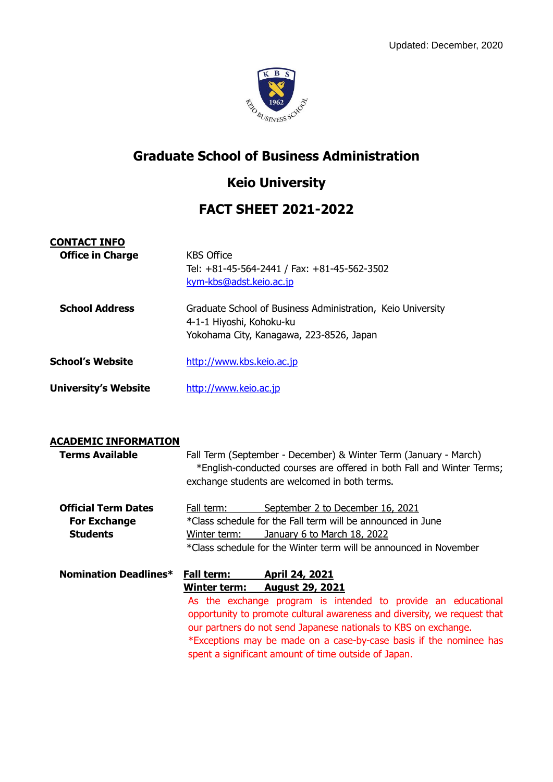

#### **Graduate School of Business Administration**

## **Keio University**

## **FACT SHEET 2021-2022**

| <b>CONTACT INFO</b>         |                                                                                                                                     |
|-----------------------------|-------------------------------------------------------------------------------------------------------------------------------------|
| <b>Office in Charge</b>     | <b>KBS Office</b><br>Tel: +81-45-564-2441 / Fax: +81-45-562-3502<br>kym-kbs@adst.keio.ac.jp                                         |
| <b>School Address</b>       | Graduate School of Business Administration, Keio University<br>4-1-1 Hiyoshi, Kohoku-ku<br>Yokohama City, Kanagawa, 223-8526, Japan |
| <b>School's Website</b>     | http://www.kbs.keio.ac.jp                                                                                                           |
| <b>University's Website</b> | http://www.keio.ac.jp                                                                                                               |

**CONTACT INFO**

#### **ACADEMIC INFORMATION Terms Available** Fall Term (September - December) & Winter Term (January - March) \*English-conducted courses are offered in both Fall and Winter Terms; exchange students are welcomed in both terms. **Official Term Dates** Fall term: September 2 to December 16, 2021 **For Exchange** \* \* \* Class schedule for the Fall term will be announced in June **Students** Winter term: January 6 to March 18, 2022 \*Class schedule for the Winter term will be announced in November **Nomination Deadlines\* Fall term: April 24, 2021 Winter term: August 29, 2021** As the exchange program is intended to provide an educational opportunity to promote cultural awareness and diversity, we request that our partners do not send Japanese nationals to KBS on exchange. \*Exceptions may be made on a case-by-case basis if the nominee has spent a significant amount of time outside of Japan.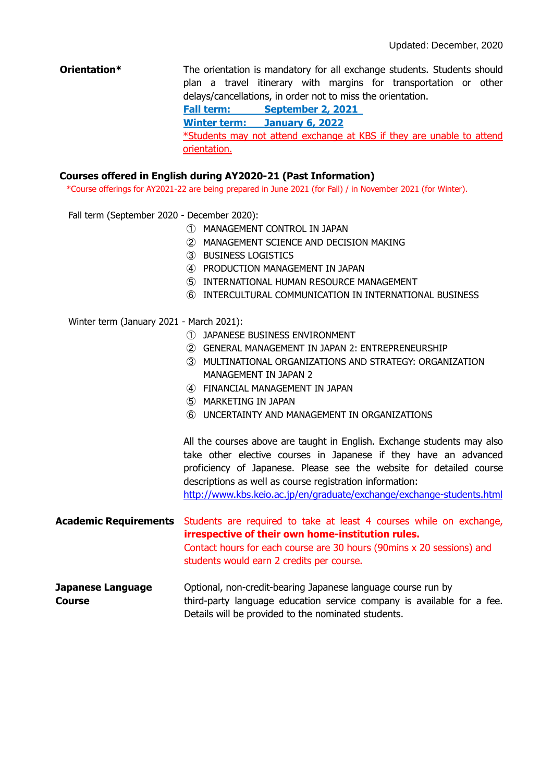**Orientation\*** The orientation is mandatory for all exchange students. Students should plan a travel itinerary with margins for transportation or other delays/cancellations, in order not to miss the orientation. **Fall term: September 2, 2021 Winter term: January 6, 2022** \*Students may not attend exchange at KBS if they are unable to attend orientation.

#### **Courses offered in English during AY2020-21 (Past Information)**

\*Course offerings for AY2021-22 are being prepared in June 2021 (for Fall) / in November 2021 (for Winter).

Fall term (September 2020 - December 2020):

- ① MANAGEMENT CONTROL IN JAPAN
- ② MANAGEMENT SCIENCE AND DECISION MAKING
- ③ BUSINESS LOGISTICS
- ④ PRODUCTION MANAGEMENT IN JAPAN
- ⑤ INTERNATIONAL HUMAN RESOURCE MANAGEMENT
- ⑥ INTERCULTURAL COMMUNICATION IN INTERNATIONAL BUSINESS

Winter term (January 2021 - March 2021):

- ① JAPANESE BUSINESS ENVIRONMENT
- ② GENERAL MANAGEMENT IN JAPAN 2: ENTREPRENEURSHIP
- ③ MULTINATIONAL ORGANIZATIONS AND STRATEGY: ORGANIZATION MANAGEMENT IN JAPAN 2
- ④ FINANCIAL MANAGEMENT IN JAPAN
- ⑤ MARKETING IN JAPAN
- ⑥ UNCERTAINTY AND MANAGEMENT IN ORGANIZATIONS

All the courses above are taught in English. Exchange students may also take other elective courses in Japanese if they have an advanced proficiency of Japanese. Please see the website for detailed course descriptions as well as course registration information: <http://www.kbs.keio.ac.jp/en/graduate/exchange/exchange-students.html>

**Academic Requirements** Students are required to take at least 4 courses while on exchange, **irrespective of their own home-institution rules.** Contact hours for each course are 30 hours (90mins x 20 sessions) and students would earn 2 credits per course.

**Japanese Language** Optional, non-credit-bearing Japanese language course run by **Course** third-party language education service company is available for a fee. Details will be provided to the nominated students.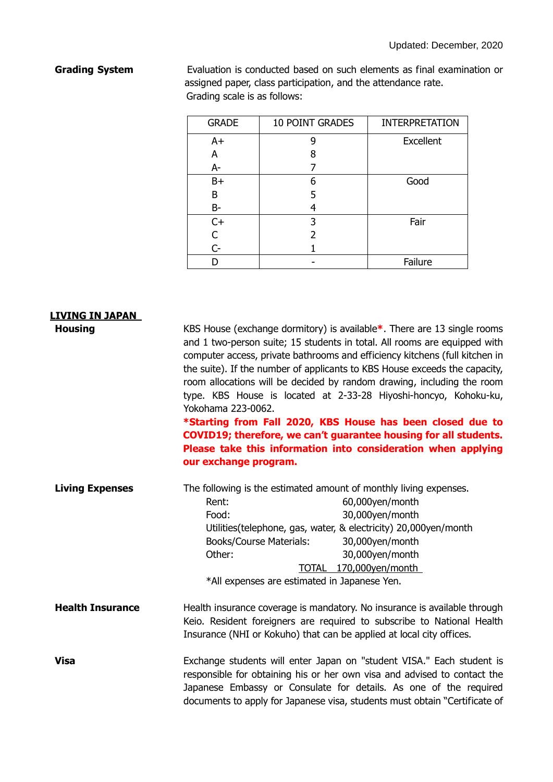**Grading System** Evaluation is conducted based on such elements as final examination or assigned paper, class participation, and the attendance rate. Grading scale is as follows:

| <b>GRADE</b> | <b>10 POINT GRADES</b> | <b>INTERPRETATION</b> |
|--------------|------------------------|-----------------------|
| $A+$         | q                      | <b>Excellent</b>      |
| A            | 8                      |                       |
| A-           |                        |                       |
| $B+$         | 6                      | Good                  |
| В            | 5                      |                       |
| $B -$        |                        |                       |
| $C+$         | 3                      | Fair                  |
| $\mathsf{C}$ |                        |                       |
| $C -$        |                        |                       |
|              |                        | Failure               |

# **LIVING IN JAPAN**

**Housing KBS** House (exchange dormitory) is available \*. There are 13 single rooms and 1 two-person suite; 15 students in total. All rooms are equipped with computer access, private bathrooms and efficiency kitchens (full kitchen in the suite). If the number of applicants to KBS House exceeds the capacity, room allocations will be decided by random drawing, including the room type. KBS House is located at 2-33-28 Hiyoshi-honcyo, Kohoku-ku, Yokohama 223-0062.

> **\*Starting from Fall 2020, KBS House has been closed due to COVID19; therefore, we can't guarantee housing for all students. Please take this information into consideration when applying our exchange program.**

| <b>Living Expenses</b> | The following is the estimated amount of monthly living expenses. |                  |
|------------------------|-------------------------------------------------------------------|------------------|
|                        | Rent:                                                             | 60,000yen/month  |
|                        | Food:                                                             | 30,000yen/month  |
|                        | Utilities(telephone, gas, water, & electricity) 20,000yen/month   |                  |
|                        | <b>Books/Course Materials:</b>                                    | 30,000yen/month  |
|                        | Other:                                                            | 30,000yen/month  |
|                        | <b>TOTAL</b>                                                      | 170,000yen/month |
|                        | *All expenses are estimated in Japanese Yen.                      |                  |
|                        |                                                                   |                  |

#### **Health Insurance Health insurance coverage is mandatory. No insurance is available through** Keio. Resident foreigners are required to subscribe to National Health Insurance (NHI or Kokuho) that can be applied at local city offices.

**Visa** Exchange students will enter Japan on "student VISA." Each student is responsible for obtaining his or her own visa and advised to contact the Japanese Embassy or Consulate for details. As one of the required documents to apply for Japanese visa, students must obtain "Certificate of